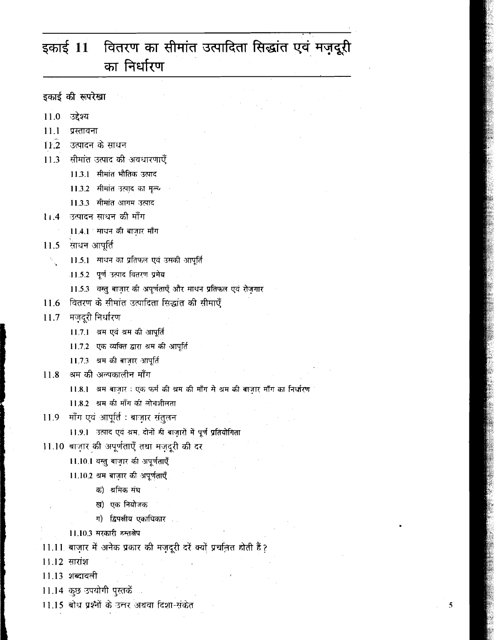### वितरण का सीमांत उत्पादिता सिद्धांत एवं मज़दूरी इकाई  $11$ का निर्धारण

इकाई की रूपरेखा

- 11.0 उद्देश्य
- प्रस्तावना  $11.1$
- $11.2$  उत्पादन के साधन
- 11.3 सीमांत उत्पाद की अवधारणाएँ
	- 11.3.1 सीमांत भौतिक उत्पाद
	- 11.3.2 सीमांत उत्पाद का मूल्य
	- 11.3.3 सीमांत आगम उत्पाद
- ्उत्पादन साधन की माँग  $11.4$ 
	- 11.4.1 साधन की बाज़ार माँग
- 11.5 साधन आपूर्ति
	- 11.5.1 माधन का प्रतिफल एवं उसकी आपूर्ति A).<br>Tu
		- 11.5.2 पूर्ण उत्पाद वितरण प्रमेय
		- 11.5.3 वस्तु बाजार की अपूर्णताएँ और साधन प्रतिफल एवं रोजगार
- वितरण के सीमांत उत्पादिता सिद्धांत की सीमाएँ 11.6
- 11.7 मज़दूरी निर्धारण
	- 11.7.1 थम एवं थम की आपूर्ति
	- 11.7.2 एक व्यक्ति द्वारा श्रम की आपूर्ति
	- 11.7.3 थम की बाजार आपूर्ति
- 11.8 श्रम की अल्पकालीन माँग
	- 11.8.1 थम बाज़ार: एक फर्म की थम की माँग मे थम की बाजार माँग का निर्धारण
	- 11.8.2 थम की माँग की लोचशीलता
- 11.9 माँग एवं आपूर्ति : बाज़ार संतुलन
	- 11.9.1 उत्पाद एवं श्रम. दोनों ही बाज़ारों में पूर्ण प्रतियोगिता
- 11.10 बाज़ार की अपूर्णताएँ तथा मज़दूरी की दर
	- 11.10.1 वस्तु बाज़ार की अपूर्णताएँ
	- 11.10.2 अम बाज़ार की अपूर्णताएँ
		- क) श्रमिक संघ
		- ख) एक नियोजक
		- ग) द्विपक्षीय एकाधिकार
	- 11.10.3 सरकारी हस्तक्षेप
- 11.11 बाज़ार में अनेक प्रकार की मज़दूरी दरें क्यों प्रचलित होती हैं?
- 11.12 सारांश
- 11.13 शब्दावली
- 11.14 कुछ उपयोगी पुस्तकें
- 11.15 बोध प्रश्नों के उत्तर अथवा दिशा-संकेत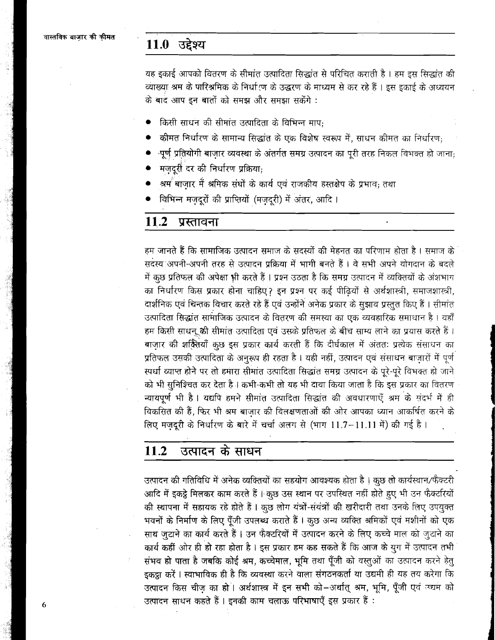### 11.0 उद्देश्य

यह इकाई आपको वितरण के सीमांत उत्पादिता सिद्धांत से परिचित कराती है। हम इस सिद्धांत की व्याख्या श्रम के पारिश्रमिक के निर्धारण के उद्धरण के माध्यम से कर रहे हैं । इस इकाई के अध्ययन के बाद आप इन बातों को समझ और समझा सकेंगे:

- किसी साधन की सीमांत उत्पादिता के विभिन्न माप:
- कीमत निर्धारण के सामान्य सिद्धांत के एक विशेष स्वरूप में, साधन कीमत का निर्धारण:
- ्पूर्ण प्रतियोगी बाजार व्यवस्था के अंतर्गत समग्र उत्पादन का पूरी तरह निकल विभक्त हो जाना;
- मजदुरी दर की निर्धारण प्रक्रिया:
- श्रम<sup>'</sup>बाज़ार में श्रमिक संघों के कार्य एवं राजकीय हस्तक्षेप के प्रभाव; तथा
- विभिन्न मजदुरों की प्राप्तियों (मजदुरी) में अंतर, आदि ।

#### $11.2$ प्रस्तावना

हम जानते हैं कि सामाजिक उत्पादन समाज के सदस्यों की मेहनत का परिणाम होता है । समाज के सदस्य अपनी-अपनी तरह से उत्पादन प्रक्रिया में भागी बनते हैं। वे सभी अपने योगदान के बदले में कुछ प्रतिफल की अपेक्षा भी करते हैं । प्रश्न उठता है कि समग्र उत्पादन में व्यक्तियों के अंशभाग का निर्धारण किस प्रकार होना चाहिए? इन प्रश्न पर कई पीढ़ियों से अर्थशास्त्री, समाजशास्त्री, दार्शनिक एवं चिन्तक विचार करते रहे हैं एवं उन्होंने अनेक प्रकार के सुझाव प्रस्तुत किए हैं। सीमांत उत्पादिता सिद्धांत सामाजिक उत्पादन के वितरण की समस्या का एक व्यवहारिक समाधान है। यहाँ हम किसी साधन की सीमांत उत्पादिता एवं उसके प्रतिफल के बीच साम्य लाने का प्रयास करते हैं। बाज़ार की शक्तियाँ कुछ इस प्रकार कार्य करती हैं कि दीर्घकाल में अंततः प्रत्येक संसाधन का प्रतिफल उसकी उत्पादिता के अनुरूप ही रहता है। यही नहीं, उत्पादन एवं संसाधन बाज़ारों में पूर्ण स्पर्धा व्याप्त होने पर तो हमारा सीमांत उत्पादिता सिद्धांत समग्र उत्पादन के पूरे-पूरे विभक्त हो जाने को भी सुनिश्चित कर देता है। कभी-कभी तो यह भी दावा किया जाता है कि इस प्रकार का वितरण न्यायपूर्ण भी है। यद्यपि हमने सीमांत उत्पादिता सिद्धांत की अवधारणाएँ श्रम के संदर्भ में ही विकसित की हैं, फिर भी श्रम बाजार की विलक्षणताओं की ओर आपका ध्यान आकर्षित करने के लिए मज़दूरी के निर्धारण के बारे में चर्चा अलग से (भाग 11.7-11.11 में) की गई है।

#### $11.2$ उत्पादन के साधन

उत्पादन की गतिविधि में अनेक व्यक्तियों का सहयोग आवश्यक होता है। कुछ तो कार्यस्थान/फैक्टरी आदि में इकट्ठे मिलकर काम करते हैं। कुछ उस स्थान पर उपस्थित नहीं होते हुए भी उन फैक्टरियों की स्थापना में सहायक रहे होते हैं। कुछ लोग यंत्रों-संयंत्रों की खरीदारी तथा उनके लिए उपयुक्त भवनों के निर्माण के लिए पूँजी उपलब्ध कराते हैं। कुछ अन्य व्यक्ति श्रमिकों एवं मशीनों को एक साथ जुटाने का कार्य करते हैं। उन फैक्टरियों में उत्पादन करने के लिए कच्चे माल को जुटाने का कार्य कहीं ओर ही हो रहा होता है। इस प्रकार हम कह सकते हैं कि आज के युग में उत्पादन तभी संभव हो पाता है जबकि कोई श्रम, कच्चेमाल, भूमि तथा पूँजी को वस्तूओं का उत्पादन करने हेतु इकट्ठा करें। स्वाभाविक ही है कि व्यवस्था करने वाला संगठनकर्ता या उद्यमी ही यह तय करेगा कि उत्पादन किस चीज का हो। अर्थशास्त्र में इन सभी को-अर्थात् श्रम, भूमि, पूँजी एवं उद्यम को उत्पादन साधन कहते हैं । इनकी काम चलाऊ परिभाषाएँ इस प्रकार हैं :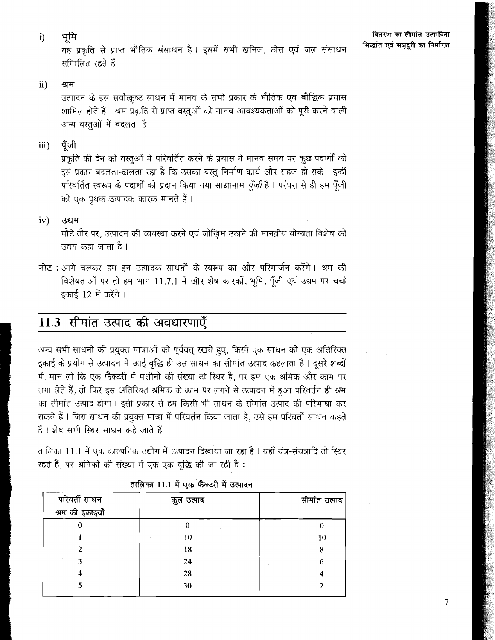भूमि  $\ddot{\mathbf{i}}$ 

यह प्रकृति से प्राप्त भौतिक संसाधन है। इसमें सभी खनिज, ठोस एवं जल संसाधन सम्मिलित रहते हैं

 $\ddot{\mathbf{i}}$ श्रम

> उत्पादन के इस सर्वोत्कृष्ट साधन में मानव के सभी प्रकार के भौतिक एवं बौद्धिक प्रयास शामिल होते हैं । श्रम प्रकृति से प्राप्त वस्तुओं को मानव आवश्यकताओं को पूरी करने वाली अन्य वस्तुओं में बदलता है।

पँजी  $\overline{\text{iii}}$ 

> प्रकृति की देन को वस्तुओं में परिवर्तित करने के प्रयास में मानव समय पर कुछ पदार्थों को इस प्रकार बदलता-ढालता रहा है कि उसका वस्तु निर्माण कार्य और सहज हो सके। इन्हीं परिवर्तित स्वरूप के पदार्थों को प्रदान किया गया साझानाम *पूँजी* है। परंपरा से ही हम पूँजी को एक पृथक उत्पादक कारक मानते हैं।

 $iv)$ उद्यम

> .<br>मौटे तौर पर, उत्पादन की व्यवस्था करने एवं जोखिम उठाने की मानवी़य योग्यता विशेष को उद्यम कहा जाता है ।

नोट : आगे चलकर हम इन उत्पादक साधनों के स्वरूप का और परिमार्जन करेंगे। श्रम की विशेषताओं पर तो हम भाग 11.7.1 में और शेष कारकों, भूमि, पूँजी एवं उद्यम पर चर्चा इकाई 12 में करेंगे।

# 11.3 सीमांत उत्पाद की अवधारणाएँ

अन्य सभी साधनों की प्रयुक्त मात्राओं को पूर्ववत् रखते हुए, किसी एक साधन की एक अतिरिक्त इकाई के प्रयोग से उत्पादन में आई वृद्धि ही उस साधन का सीमांत उत्पाद कहलाता है। दूसरे शब्दों में, मान लो कि एक फैक्टरी में मशीनों की संख्या तो स्थिर है, पर हम एक श्रमिक और काम पर लगा लेते हैं, तो फिर इस अतिरिक्त श्रमिक के काम पर लगने से उत्पादन में हुआ परिवर्तन ही श्रम का सीमांत उत्पाद होगा। इसी प्रकार से हम किसी भी साधन के सीमांत उत्पाद की परिभाषा कर सकते हैं । जिस साधन की प्रयुक्त मात्रा में परिवर्तन किया जाता है, उसे हम परिवर्ती साधन कहते हैं। शेष सभी स्थिर साधन कहे जाते हैं

तालिका 11.1 में एक काल्पनिक उद्योग में उत्पादन दिखाया जा रहा है। यहाँ यंत्र-संयत्रादि तो स्थिर रहते हैं, पर श्रमिकों की संख्या में एक-एक वृद्धि की जा रही है:

| परिवर्ती साधन<br>श्रम की इकाइयाँ | कुल उत्पाद | सीमांत उत्पाद |
|----------------------------------|------------|---------------|
|                                  |            | O             |
|                                  | 10         | 10            |
|                                  | 18         | 8             |
|                                  | 24         | 6             |
|                                  | 28         |               |
|                                  | 30         |               |

| तालिका 11.1 में एक फैक्टरी में उत्पादन |  |  |  |  |
|----------------------------------------|--|--|--|--|
|----------------------------------------|--|--|--|--|

 $\overline{7}$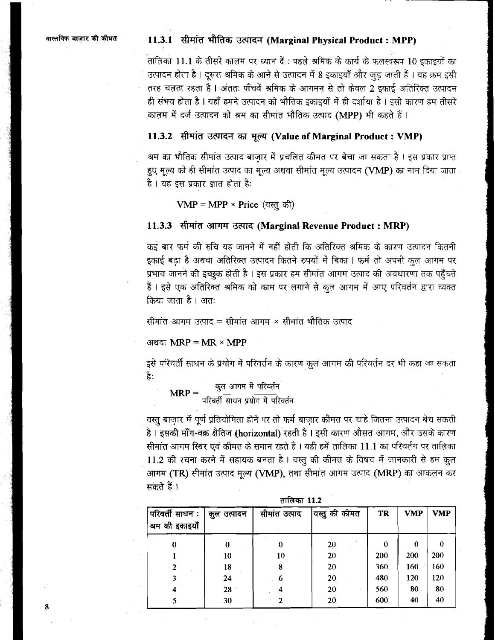### ~alg~4~ **11.3.1** @'4iT 37fFFT **(Marginal Physical Product** : **MPP)**

तालिका 11.1 के तीसरे कालम पर ध्यान दें : पहले श्रमिक के कार्य के फलस्वरूप 10 इकाइयों का उत्पादन होता है । दूसरा श्रमिक के आने से उत्पादन में 8 इकाइयाँ और जुड़ जाती हैं । यह क्रम इसी तरह चलता रहता है। अंततः पाँचवें श्रमिक के आगमन से तो केवल 2 इकाई अतिरिक्त उत्पादन ही संभव होता है । यहाँ हमने उत्पादन को भौतिक इकाइयों में ही दर्शाया है । इसी कारण हम तीसरे कालम में दर्ज उत्पादन को श्रम का सीमांत भौतिक उत्पाद (MPP) भी कहते हैं।

### 11.3.2 सीमांत उत्पादन का मूल्य (Value of Marginal Product : VMP)

श्रम का भौतिक सीमांत उत्पाद बाजार में प्रचलित कीमत पर बेचा जा सकता है । इस प्रकार प्राप्त हुए मूल्य को ही सीमांत उत्पाद का मूल्य अथवा सीमांत मूल्य उत्पादन (VMP) का नाम दिया जाता है । यह इस प्रकार ज्ञात होता है:

**VMP** = **MPP x Price** (q a)

### **11.3.3** सीमांत आगम उत्पाद (Marginal Revenue Product : MRP)

कई बार फर्म की रुचि यह जानने में नहीं होती कि अतिरिक्त श्रमिक के कारण उत्पादन कितनी इकाई बढ़ा है अथवा अतिरिक्त उत्पादन कितने रुपयों में बिका । फर्म तो अपनी कूल आगम पर प्रभाव जानने की इच्छुक होती है । इस प्रकार हम सीमांत आगम उत्पाद की अवधारणा तक पहुँचते हैं। इसे एक अतिरिक्त श्रमिक को काम पर लगाने से कुल आगम में आए परिवर्तन द्वारा व्यक्त किया जाता है। अतः

सीमांत आगम उत्पाद = सीमांत आगम × सीमांत भौतिक उत्पाद

अथवा $MRP = MR \times MPP$ 

इसे परिवर्ती साधन के प्रयोग में परिवर्तन के कारण कुल आगम की परिवर्तन दर भी कहा जा सकता है:

वस्तु बाज़ार में पूर्ण प्रतियोगिता होने पर तो फर्म बाजार कीमत पर चाहे जितना उत्पादन बेच सकती $\qquad \qquad$ <sup>परिवर्ती साधन प्रयोग में परिवर्तन<br>वस्तु बाज़ार में पूर्ण प्रतियोगिता होने पर तो फर्म बाज़ार कीमत पर चाहे जितना उत्पादन बेच सकती<br>है । इसकी माँग-वक्र क्षैतिज (horizontal) रहती है । इसी कारण औसत आगम, और उसके कारण<br>पीपांच आगप</sup> सीमांत आगम स्थिर एवं कीमत के समान रहते हैं । यही हमें तालिका 11.1 का परिवर्तन पर तालिका 11.2 की रचना करने में सहायक बनता है। वस्तु की कीमत के विषय में जानकारी से हम कुल 11.2 की रचना करने में सहायक बनता है । वस्तु की कीमत के विषय में जानकारी से हम कुल<br>आगम <mark>(TR)</mark> सीमांत उत्पाद मूल्य <mark>(VMP)</mark>, तथा सीमांत आगम उत्पाद **(MRP)** का आकलन कर आगम <mark>(TR)</mark> सीमां<br>सकते हैं ।

| परिवर्ती साधन :<br><sup>'</sup> श्रम की इकाइयाँ | कुल उत्पादन | सीमांत उत्पाद | <sup>।</sup> वस्तु की कीमत | TR  | <b>VMP</b> | <b>VMP</b> |
|-------------------------------------------------|-------------|---------------|----------------------------|-----|------------|------------|
| 0                                               | 0           |               | 20                         | 0   | $\Omega$   | $\theta$   |
|                                                 | 10          | 10            | 20                         | 200 | 200        | 200        |
|                                                 | 18          | 8             | 20                         | 360 | 160        | 160        |
|                                                 | 24          | 6             | 20                         | 480 | 120        | 120        |
|                                                 | 28          |               | 20                         | 560 | 80         | 80         |
|                                                 | 30          |               | $-20$                      | 600 | 40         | 40         |

तालिका 11.2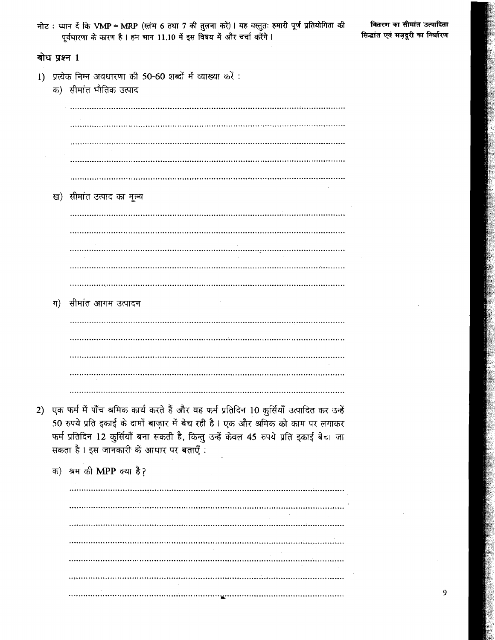|    |              | नोट : ध्यान दें कि VMP = MRP (स्तंभ 6 तथा 7 की तुलना करें)। यह वस्तुतः हमारी पूर्ण प्रतियोगिता की<br>पूर्वधारणा के कारण है। हम भाग 11.10 में इस विषय में और चर्चा करेंगे।                                                                                                                                         | वितरण<br>सिद्धांत एव |
|----|--------------|-------------------------------------------------------------------------------------------------------------------------------------------------------------------------------------------------------------------------------------------------------------------------------------------------------------------|----------------------|
|    | बोध प्रश्न 1 |                                                                                                                                                                                                                                                                                                                   |                      |
| 1) |              | प्रत्येक निम्न अवधारणा की 50-60 शब्दों में व्याख्या करें:<br>क) सीमांत भौतिक उत्पाद                                                                                                                                                                                                                               |                      |
|    |              |                                                                                                                                                                                                                                                                                                                   |                      |
|    |              |                                                                                                                                                                                                                                                                                                                   |                      |
|    |              | ख) सीमांत उत्पाद का मूल्य                                                                                                                                                                                                                                                                                         |                      |
|    |              |                                                                                                                                                                                                                                                                                                                   |                      |
|    |              |                                                                                                                                                                                                                                                                                                                   |                      |
|    | ग)           | सीमांत आगम उत्पादन                                                                                                                                                                                                                                                                                                |                      |
|    |              |                                                                                                                                                                                                                                                                                                                   |                      |
|    |              |                                                                                                                                                                                                                                                                                                                   |                      |
| 2) |              | एक फर्म में पाँच श्रमिक कार्य करते हैं और यह फर्म प्रतिदिन 10 कुर्सियाँ उत्पादित कर उन्हें<br>50 रुपये प्रति इकाई के दामों बाज़ार में बेच रही है। एक और श्रमिक को काम पर लगाकर<br>फर्म प्रतिदिन 12 कुर्सियाँ बना सकती है, किन्तु उन्हें केवल 45 रुपये प्रति इकाई बेचा जा<br>सकता है। इस जानकारी के आधार पर बताएँ: |                      |
|    |              | क) श्रम की MPP क्या है?<br>                                                                                                                                                                                                                                                                                       |                      |
|    |              |                                                                                                                                                                                                                                                                                                                   |                      |
|    |              |                                                                                                                                                                                                                                                                                                                   |                      |
|    |              |                                                                                                                                                                                                                                                                                                                   |                      |

 $\overline{a}$ 

 $\overline{9}$ 

का सीमांत उत्पादिता वं मज़दूरी का निर्<mark>घा</mark>रण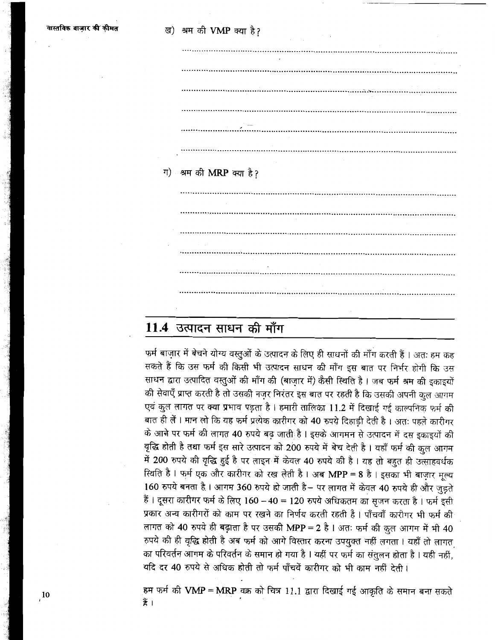| ग) श्रम की MRP क्या है? |
|-------------------------|
|                         |
|                         |
|                         |
|                         |
|                         |
|                         |
|                         |
| $\mathbf{r}$            |

## 11.4 उत्पादन साधन की माँग

फर्म बाज़ार में बेचने योग्य वस्तुओं के उत्पादन के लिए ही साधनों की माँग करती हैं। अतः हम कह सकते हैं कि उस फर्म की किसी भी उत्पादन साधन की माँग इस बात पर निर्भर होगी कि उस साधन द्वारा उत्पादित वस्तुओं की माँग की (बाज़ार में) कैसी स्थिति है। जब फर्म श्रम की इकाइयों की सेवाएँ प्राप्त करती है तो उसकी नज़र निरंतर इस बात पर रहती है कि उसकी अपनी कुल आगम एवं कुल लागत पर क्या प्रभाव पडता है। हमारी तालिका 11.2 में दिखाई गई काल्पनिक फर्म की बात ही लें। मान लो कि यह फर्म प्रत्येक कारीगर को 40 रुपये दिहाड़ी देती है। अतः पहले कारीगर के आने पर फर्म की लागत 40 रुपये बढ़ जाती है। इसके आगमन से उत्पादन में दस इकाइयों की वृद्धि होती है तथा फर्म इस सारे उत्पादन को 200 रुपये में बेच देती है। यहाँ फर्म की कुल आगम में 200 रुपये की वृद्धि हुई है पर लाइन में केवल 40 रुपये की है। यह तो बहुत ही उत्साहवर्धक स्थिति है। फर्म एक और कारीगर को रख लेती है। अब MPP = 8 है। इसका भी बाज़ार मूल्य 160 रुपये बनता है। आगम 360 रुपये हो जाती है- पर लागत में केवल 40 रुपये ही और जुड़ते हैं। दूसरा कारीगर फर्म के लिए 160 - 40 = 120 रुपये अधिकतम का सजन करता है। फर्म इसी प्रकार अन्य कारीगरों को काम पर रखने का निर्णय करती रहती है। पाँचवाँ कारीगर भी फर्म की लागत को 40 रुपये ही बढ़ाता है पर उसकी MPP = 2 है। अतः फर्म की कुल आगम में भी 40 रुपये की ही वृद्धि होती है अब फर्म को आगे विस्तार करना उपयुक्त नहीं लगता । यहाँ तो लागत का परिवर्तन आगम के परिवर्तन के समान हो गया है । यहीं पर फर्म का संतुलन होता है । यही नहीं, यदि दर 40 रुपये से अधिक होती तो फर्म पाँचवें कारीगर को भी काम नहीं देती।

हम फर्म की VMP = MRP वक्र को चित्र 11.1 द्वारा दिखाई गई आकृति के समान बना सकते ¥े।

 $\frac{10}{10}$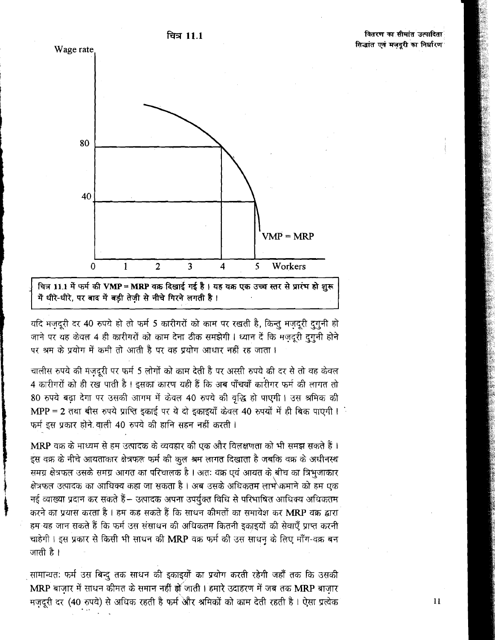

ਰਿਕ 11.1

में धीरे-धीरे, पर बाद में बड़ी तेजी से नीचे गिरने लगती है।

यदि मजदूरी दर 40 रुपये हो तो फर्म 5 कारीगरों को काम पर रखती है, किन्तु मजदूरी दुगुनी हो जाने पर यह केवल 4 ही कारीगरों को काम देना ठीक समझेगी। ध्यान दें कि मजदरी दगनी होने पर श्रम के प्रयोग में कमी तो आती है पर वह प्रयोग आधार नहीं रह जाता।

चालीस रुपये की मंजदूरी पर फर्म 5 लोगों को काम देती है पर अस्सी रुपये की दर से तो वह केवल 4 कारीगरों को ही रख पाती है । इसका कारण यही हैं कि अब पाँचवाँ कारीगर फर्म की लागत तो 80 रुपये बढ़ा देगा पर उसकी आगम में केवल 40 रुपये की वृद्धि हो पाएगी। उस श्रमिक की MPP = 2 तथा बीस रुपये प्राप्ति इकाई पर ये दो इकाइयाँ केवल 40 रुपयों में ही बिक पाएगी। फर्म इस प्रकार होने वाली 40 रुपये की हानि सहन नहीं करती।

MRP वक्र के माध्यम से हम उत्पादक के व्यवहार की एक और विलक्षणता को भी समझ सकते हैं। इस वक्र के नीचे आयताकार क्षेत्रफल फर्म की कुल श्रम लागत दिखाता है जबकि वक्र के अधीनस्थ समग्र क्षेत्रफल उसके समग्र आगत का परिचालक है । अतः वक्र एवं आयत के बीच का त्रिभुजाकार क्षेत्रफल उत्पादक का आधिक्य कहा जा सकता है । अब उसके अधिकतम लाभे कमाने को हम एक नई व्याख्या प्रदान कर सकते हैं— उत्पादक अपना उपर्युक्त विधि से परिभाषित आधिक्य अधिकतम करने का प्रयास करता है। हम कह सकते हैं कि साधन कीमतों का समावेश कर MRP वक्र द्वारा हम-यह जान सकते हैं कि फर्म उस संसाधन की अधिकतम कितनी इकाइयों की सेवाएँ प्राप्त करनी चाहेगी। इस प्रकार से किसी भी साधन की MRP वक्र फर्म की उस साधन के लिए माँग-वक्र बन जाती है ।

सामान्यतः फर्म उस बिन्दु तक साधन की इकाइयों का प्रयोग करती रहेगी जहाँ तक कि उसकी MRP बाज़ार में साधन कीमत के समान नहीं हो जाती। हमारे उदाहरण में जब तक MRP बाज़ार मज़दूरी दर (40 रुपये) से अधिक रहती है फर्म और श्रमिकों को काम देती रहती है। ऐसा प्रत्येक

 $\overline{11}$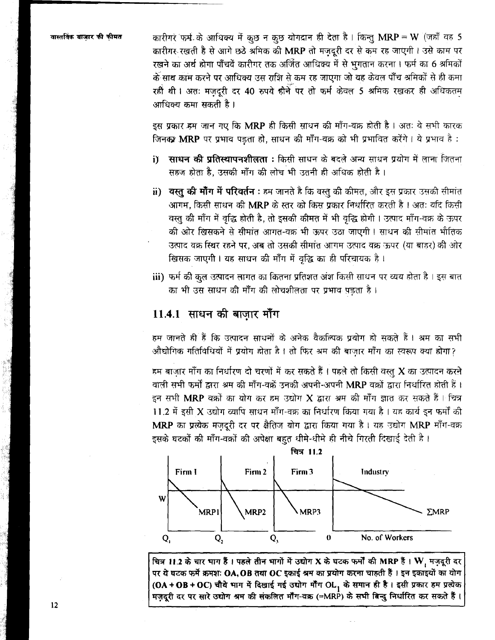वास्तविक बाजार की कीमत

कारीगरें फर्म के आधिक्य में कुछ न कुछ योगद्रान ही देता है। किन्तु MRP = W (जहाँ वह 5) कारीगर रखती है से आगे छठे श्रमिक की MRP तो मजदरी दर से कम रह जाएगी। उसे काम पर रखने का अर्थ होगा पाँचवें कारीगर तक अर्जित आधिक्य में से भगतान करना। फर्म का 6 श्रमिकों के साथ काम करने पर आधिक्य उस राशि से कम रह जाएगा जो वह केवल पाँच श्रमिकों से ही कमा रहीं थी। अतः मजदूरी दर 40 रुपये हीने पर तो फर्म केवल 5 श्रमिक रखकर ही अधिकतम आधिक्य कमा सकती है ।

इस प्रकार हम जान गए कि MRP ही किसी साधन की माँग-वक्र होती है। अतः वे सभी कारक जिनका MRP पर प्रभाव पड़ता हो, साधन की माँग-वक्र को भी प्रभावित करेंगे। ये प्रभाव है:

- i) साधन की प्रतिस्थापनशीलता : किसी साधन के बदले अन्य साधन प्रयोग में लाना जितना सहज होता है. उसकी माँग की लोच भी उतनी ही अधिक होती है।
- ii) वस्तु की मॉॅंग में परिवर्तन : हम जानते है कि वस्तु की कीमत, और इस प्रकार उसकी सीमांत आगम, किसी साधन की MRP के स्तर को किस प्रकार निर्धारित करती है। अत: यदि किसी वस्तु की माँग में वृद्धि होती है, तो इसकी कीमत में भी वृद्धि होगी। उत्पाद माँग-वक्र के ऊपर की ओर खिसकने से सीमांत आगत-वक्र भी ऊपर उठा जाएगी। साधन की सीमांत भौतिक उत्पाद वक्र स्थिर रहने पर. अब तो उसकी सीमांत आगम उत्पाद वक्र ऊपर (या बाहर) की ओर खिसक जाएगी। यह साधन की माँग में वृद्धि का ही परिचायक है।
- iii) फर्म की कुल उत्पादन लागत का कितना प्रतिशत अंश किसी साधन पर व्यय होता है। इस बात का भी उस साधन की माँग की लोचशीलता पर प्रभाव पड़ता है।

### 11.4.1 साधन की बाज़ार माँग

हम जानते ही हैं कि उत्पादन साधनों के अनेक वैकल्पिक प्रयोग हो सकते हैं। श्रम का सभी औद्योगिक गतिविधियों में प्रयोग होता है। तो फिर श्रम की बाज़ार माँग का स्वरूप क्या होगा?

हम बाजार माँग का निर्धारण दो चरणों में कर सकते हैं। पहले तो किसी वस्तु X का उत्पादन करने वाली सभी फर्मों द्वारा श्रम की माँग-वक्रें उनकी अपनी-अपनी MRP वक्रों द्वारा निर्धारित होती हैं। इन सभी MRP वक्रों का योग कर हम उद्योग X द्वारा अम की माँग ज्ञात कर सकते हैं। चित्र 11.2 में इसी X उद्योग व्यापि साधन माँग-वक्र का निर्धारण किया गया है। यह कार्य इन फर्मों की MRP का प्रत्येक मज़दूरी दर पर क्षैतिज योग द्वारा किया गया है। यह उद्योग MRP माँग-वक्र इसके घटकों की माँग-वक्रों की अपेक्षा बहुत धीमे-धीमे ही नीचे गिरती दिखाई देती है।



चित्र 11.2 के चार भाग हैं। पहले तीन भागों में उद्योग X के घटक फर्मों की MRP हैं। W, मज़दूरी दर पर ये घटक फर्मे क्रमशः OA, OB तथा OC इकाई श्रम का प्रयोग करना चाहती हैं। इन इकाइयों का योग (OA+OB+OC) चौथे भाग में दिखाई गई उद्योग मौंग OL, के समान ही है। इसी प्रकार हम प्रत्येक मज़दूरी दर पर सारे उद्योग श्रम की संकलित मॉॅंग-वक्र (=MRP) के सभी बिन्दु निर्धारित कर सकते हैं।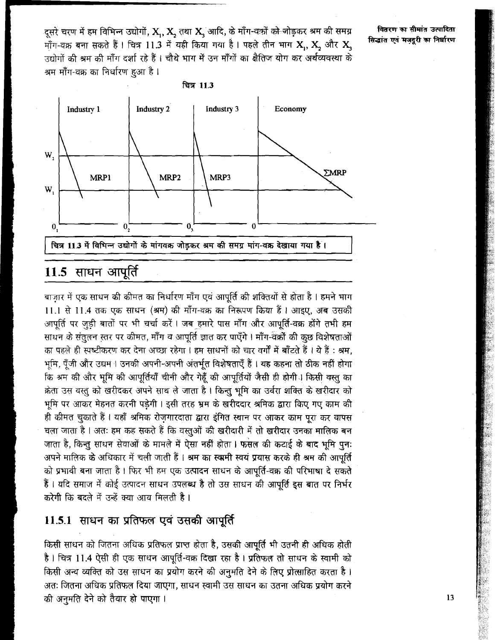दुसरे चरण में हम विभिन्न उद्योगों, X,, X, तथा X, आदि, के माँग-वक़ों को जोड़कर श्रम की समग्र माँग-वक्र बना सकते हैं। चित्र 11.3 में यही किया गया है। पहले तीन भाग X, X, और X, उद्योगों की श्रम की माँग दर्शा रहे हैं। चौथे भाग में उन माँगों का क्षैतिज योग कर अर्थव्यवस्था के श्रम माँग-वक्र का निर्धारण हुआ है।

वितरण का सीमांत उत्पादिता सिद्धांत एवं मज़दूरी का निर्धारण



# 11.5 साधन आपूर्ति

बाज़ार में एक साधन की कीमत का निर्धारण माँग एवं आपूर्ति की शक्तियों से होता है। हमने भाग 11.1 से 11.4 तक एक साधन (श्रम) की माँग-वक्र का निरूपण किया हैं। आइए. अब उसकी आपूर्ति पर जूड़ी बातों पर भी चर्चा करें। जब हमारे पास माँग और आपूर्ति-वक्र होंगे तभी हम साधन के संतुलन स्तर पर कीमत, माँग व आपूर्ति ज्ञात कर पाएँगे। माँग-वर्कों की कुछ विशेषताओं का पहले ही स्पष्टीकरण कर देना अच्छा रहेगा। हम साधनों को चार वर्गों में बाँटते हैं। ये हैं: श्रम, भूमि, पूँजी और उद्यम । उनकी अपनी-अपनी अंतर्भूत विशेषताएँ हैं । यह कहना तो ठीक नहीं होगा कि श्रम की और भूमि की आपूर्तियाँ चीनी और गेहूँ की आपूर्तियों जैसी ही होगी। किसी वस्तु का क्रेता उस वस्तु को खरीदकर अपने साथ ले जाता है। किन्तु भूमि का उर्वरा शक्ति के खरीदार को भूमि पर आकर मेहनत करनी पड़ेगी। इसी तरह भ्रम के खरीददार श्रमिक द्वारा किए गए काम की ही कीमत चुकाते हैं। यहाँ श्रमिक रोज़गारदाता द्वारा इंगित स्थान पर आकर काम पूरा कर वापस चला जाता है। अतः हम कह सकते हैं कि वस्तुओं की खरीदारी में तो खरीदार उनका मालिक बन जाता है, किन्तु साधन सेवाओं के मामले में ऐसा नहीं होता। फसल की कटाई के बाद भूमि पुन: अपने मालिक के अधिकार में चली जाती हैं। श्रम का स्वामी स्वयं प्रयास करके ही श्रम की आपूर्ति को प्रभावी बना जाता है। फिर भी हम एक उत्पादन साधन के आपूर्ति-वक्र की परिभाषा दे सकते हैं। यदि समाज में कोई उत्पादन साधन उपलब्ध है तो उस साधन की आपूर्ति इस बात पर निर्भर करेगी कि बदले में उन्हें क्या आय मिलती है।

## 11.5.1 साधन का प्रतिफल एवं उसकी आपूर्ति

किसी साधन को जितना अधिक प्रतिफल प्राप्त होता है, उसकी आपूर्ति भी उतनी ही अधिक होती है। चित्र 11.4 ऐसी ही एक साधन आपूर्ति-वक्र दिखा रहा है। प्रतिफल तो साधन के स्वामी को किसी अन्य व्यक्ति को उस साधन का प्रयोग करने की अनुमति देने के लिए प्रोत्साहित करता है। अतः जितना अधिक प्रतिफल दिया जाएगा, साधन स्वामी उस साधन का उतना अधिक प्रयोग करने की अनुमति देने को तैयार हो पाएगा ।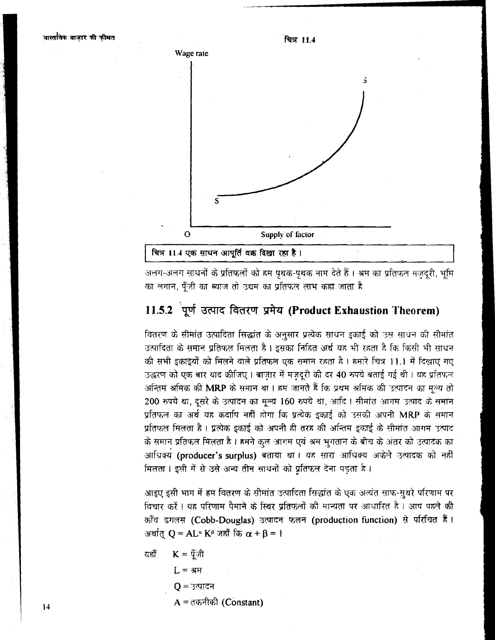



अलग-अलग साधनों के प्रतिफलों को हम पृथक-पृथक नाम देते हैं । <del>अ</del>म का प्रतिफल मज़दूरी, भूमि का लगान, पूँजी का ब्याज तो उद्यम का प्रतिफल लाभ कहा जाता है

## 11.5.2 पूर्ण उत्पाद वितरण प्रमेय (Product Exhaustion Theorem)

वितरण के सीमांत उत्पादिता सिद्धांत के अनुसार प्रत्येक साधन इकाई को उस साधन की सीमांत उत्पादिता के समान प्रतिफल मिलता है। इसका निहित अर्थ यह भी रहता है कि किसी भी साधन की सभी इकाइयों को मिलने वाले प्रतिफल एक समान रहता है। हमारे चित्र 11.1 में दिखाए गए उद्धरण को एक बार याद कीजिए। बाजार में मज़दूरी की दर 40 रुपये बताई गई थी। यह प्रतिफल अन्तिम श्रमिक की MRP के समान था। हम जानते हैं कि प्रथम श्रमिक की उत्पादन का मल्य तो 200 रुपये था, दूसरे के उत्पादन का मूल्य 160 रुपये था, आदि । सीमांत आगम उत्पाद के समान प्रतिफल का अर्थ यह कदापि नहीं होगा कि प्रत्येक इकाई को उसकी अपनी  $\mathbf{MRP}$  के समान प्रतिफल मिलता है । प्रत्येक इकाई को अपनी ही तरह की अन्तिम इकाई के सीमांत आगम उत्पाद के समान प्रतिफल मिलता है । हमने कुल आगम एवं श्रम भुगतान के बीच के अंतर को उत्पादक का आधिक्य (producer's surplus) बताया था। यह सारा आधिक्य अकेले उत्पादक को नहीं मिलता। इसी में से उसे अन्य तीन साधनों को प्रतिफल देना पडता है।

आइए इसी भाग में हम वितरण के सीमांत उत्पादिता सिद्धांत के एक अत्यंत साफ-सुथरे परिणाम पर विचार करें । यह परिणाम पैमाने के स्थिर प्रतिफलों की मान्यता पर आधारित है । आप पहले की ?f?% rn **(Cobb-Douglas)** ;nm;r **m (production function)** 3 VMi-fiT % **<sup>I</sup>** अर्थात  $Q = AL^{\alpha} K^{\beta}$  जहाँ कि  $\alpha + \beta = 1$ 

यहाँ 
$$
K = \check{Y}
$$
नी  
\nL = श्रम  
\nQ = उत्पादन  
\nA = तकनीकी (Constant)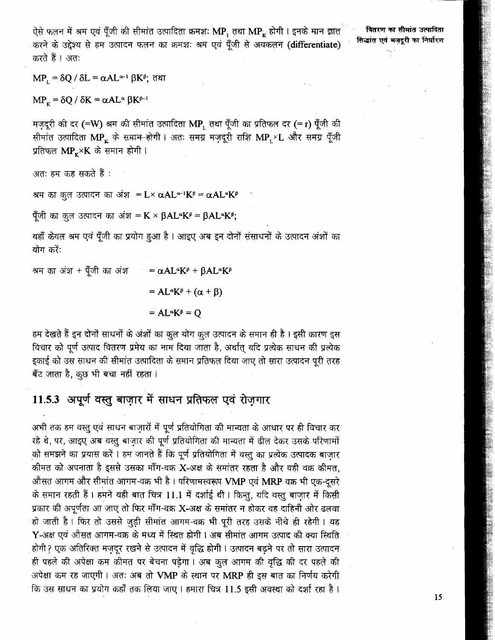ऐसे फलन में श्रम एवं पूँजी की सीमांत उत्पादिता क्रमशः MP, तथा MP, होगी। इनके मान ज्ञात करने के उद्देश्य से हम उत्पादन फलन का क्रमशः श्रम एवं पूँजी से अवकलन (differentiate) करते हैं । अतः

वितरण का सीमांत उत्पादिता सिद्धांत एवं मजदूरी का निर्धारण

 $MP_1 = \delta Q / \delta L = \alpha A L^{\alpha-1} \beta K^{\beta};$  तथा

 $MP_{K} = \delta Q / \delta K = \alpha A L^{\alpha} \beta K^{\beta-1}$ 

मज़दूरी की दर (=W) श्रम की सीमांत उत्पादिता MP, तथा पूँजी का प्रतिफल दर (=r) पूँजी की सीमांत उत्पादिता MP ह के सम्रान होगी। अतः समग्र मज़दूरी राशि MP ×L और समग्र पूँजी प्रतिफल MP × K के समान होगी।

अतः हम कह सकते हैं :

श्रम का कुल उत्पादन का अंश = L × αAL α-1K θ = αAL αK β

पूँजी का कुल उत्पादन का अंश = K × βAL K<sup>β</sup> = βAL K<sup>β</sup>;

यहाँ केवल श्रम एवं पूँजी का प्रयोग हुआ है। आइए अब इन दोनों संसाधनों के उत्पादन अंशों का योग करें:

श्रम का अंश + पूँजी का अंश  $= \alpha A L^{\alpha} K^{\beta} + \beta A L^{\alpha} K^{\beta}$  $=AL^{\alpha}K^{\beta} + (\alpha + \beta)$  $=AL^{\alpha}K^{\beta}=O$ 

हम देखते हैं इन दोनों साधनों के अंशों का कुल योग कुल उत्पादन के समान ही है। इसी कारण इस विचार को पूर्ण उत्पाद वितरण प्रमेय का नाम दिया जाता है, अर्थात् यदि प्रत्येक साधन की प्रत्येक इकाई को उस साधन की सीमांत उत्पादिता के समान प्रतिफल दिया जाए तो सारा उत्पादन पूरी तरह बँट जाता है, कुछ भी बचा नहीं रहता।

## 11.5.3 अपूर्ण वस्तू बाज़ार में साधन प्रतिफल एवं रोज़गार

अभी तक हम वस्तु एवं साधन बाज़ारों में पूर्ण प्रतियोगिता की मान्यता के आधार पर ही विचार कर रहे थे, पर, आइए अब वस्तु बाज़ार की पूर्ण प्रतियोगिता की मान्यता में ढील देकर उसके परिणामों को समझने का प्रयास करें। हम जानते हैं कि पूर्ण प्रतियोगिता में वस्तु का प्रत्येक उत्पादक बाजार कीमत को अपनाता है इससे उसका माँग-वक्र X-अक्ष के समांतर रहता है और वही वक्र कीमत, औसत आगम और सीमांत आगम-वक्र भी है। परिणामस्वरूप VMP एवं MRP वक्र भी एक-दुसरे के समान रहती हैं। हमने यही बात चित्र 11.1 में दर्शाई थी। किन्तु, यदि वस्तु बाज़ार में किसी प्रकार की अपूर्णता आ जाए तो फिर माँग-वक्र X-अक्ष के समांतर न होकर वह दाहिनी ओर ढलवा हो जाती है। फिर तो उससे जुड़ी सीमांत आगम-वक्र भी पूरी तरह उसके नीचे ही रहेगी। यह Y-अक्ष एवं औसत आगम-वक्र के मध्य में स्थित होगी। अब सीमांत आगम उत्पाद की क्या स्थिति होगी ? एक अतिरिक्त मज़दूर रखने से उत्पादन में वृद्धि होगी। उत्पादन बढ़ने पर तो सारा उत्पादन ही पहले की अपेक्षा कम कीमत पर बेचना पड़ेगा। अब कुल आगम की वृद्धि की दर पहले की अपेक्षा कम रह जाएगी। अतः अब तो VMP के स्थान पर MRP ही इस बात का निर्णय करेगी कि उस साधन का प्रयोग कहाँ तक लिया जाए। हमारा चित्र 11.5 इसी अवस्था को दर्शा रहा है।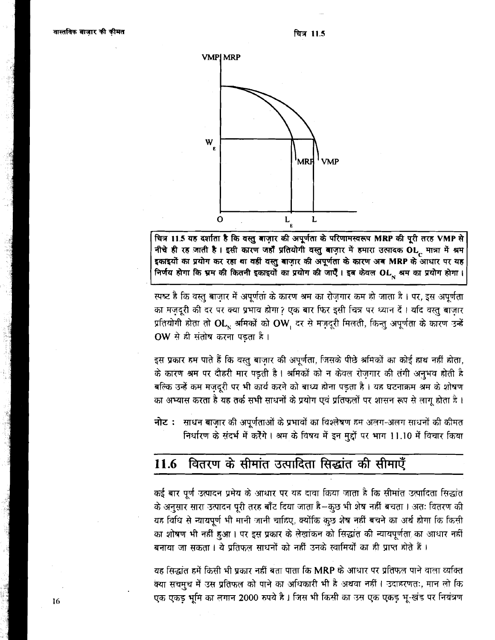

चित्र 11.5 यह दर्शाता है कि वस्तु बाज़ार की अपूर्णता के परिणामस्वरूप MRP की पूरी तरह VMP से नीचे ही रह जाती है। इसी कारण जहाँ प्रतियोगी वस्तु बाज़ार में हमारा उत्पादक OL, मात्रा में श्रम इकाइयों का प्रयोग कर रहा था वहीं वस्तु बाज़ार की अपूर्णता के कारण अब MRP के आधार पर यह निर्णय होगा कि भ्रम की कितनी इकाइयों का प्रयोग की जाएँ। इब केवल OL सम का प्रयोग होगा।

स्पष्ट है कि वस्तु बाज़ार में अपूर्णता के कारण श्रम का रोज़गार कम हो जाता है। पर, इस अपूर्णता का मज़दूरी की दर पर क्या प्रभाव होगा? एक बार फिर इसी चित्र पर ध्यान दें। यदि वस्तु बाज़ार प्रतियोगी होता तो  $\mathbf{OL}_{_{\mathbf{N}}}$  श्रमिकों को  $\mathbf{OW}_{_{\mathbf{I}}}$  दर से मज़दूरी मिलती, किन्तु अपूर्णता के कारण उन्हें OW से ही संतोष करना पड़ता है।

इस प्रकार हम पाते हैं कि वस्तु बाज़ार की अपूर्णता, जिसके पीछे श्रमिकों का कोई हाथ नहीं होता, के कारण श्रम पर दौहरी मार पड़ती है। श्रमिकों को न केवल रोजगार की तंगी अनुभव होती है बल्कि उन्हें कम मजदुरी पर भी कार्य करने को बाध्य होना पड़ता है। यह घटनाक्रम श्रम के शोषण का अभ्यास करता है यह तर्क सभी साधनों के प्रयोग एवं प्रतिफलों पर शासन रूप से लागू होता है।

नोट: साधन बाज़ार की अपूर्णताओं के प्रभावों का विश्लेषण हम अलग-अलग साधनों की कीमत निर्धारण के संदर्भ में करेंगे। श्रम के विषय में इन मुद्दों पर भाग 11.10 में विचार किया

#### वितरण के सीमांत उत्पादिता सिद्धांत की सीमाएँ 11.6

कई बार पूर्ण उत्पादन प्रमेय के आधार पर यह दावा किया जाता है कि सीमांत उत्पादिता सिद्धांत के अनुसार सारा उत्पादन पूरी तरह बाँट दिया जाता है-कुछ भी शेष नहीं बचता । अतः वितरण की यह विधि से न्यायपूर्ण भी मानी जानी चाहिए, क्योंकि कुछ शेष नहीं बचने का अर्थ होगा कि किसी का शोषण भी नहीं हुआ। पर इस प्रकार के लेखांकन को सिद्धांत की न्यायपूर्णता का आधार नहीं बनाया जा सकता। ये प्रतिफल साधनों को नहीं उनके स्वामियों का ही प्राप्त होते हैं।

यह सिद्धांत हमें किसी भी प्रकार नहीं बता पाता कि MRP के आधार पर प्रतिफल पाने वाला व्यक्ति क्या सचमुच में उस प्रतिफल को पाने का अधिकारी भी है अथवा नहीं। उदाहरणतः, मान लो कि एक एकड़ भूमि का लगान 2000 रुपये है। जिस भी किसी का उस एक एकड़ भू-खंड पर नियंत्रण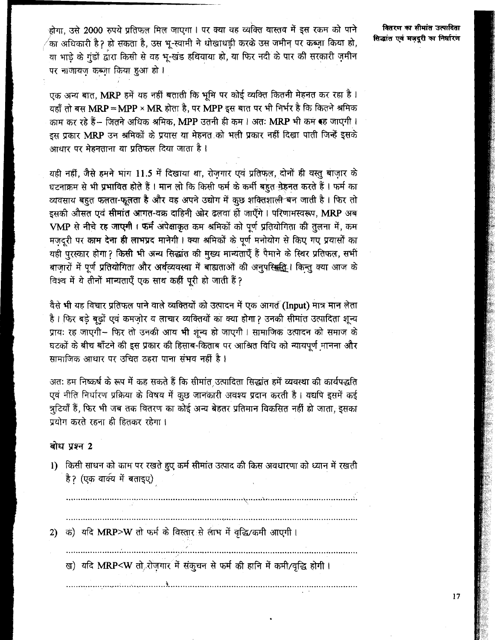होगा, उसे 2000 रुपये प्रतिफल मिल जाएगा। पर क्या वह व्यक्ति वास्तव में इस रकम को पाने ,<br>का अधिकारी हैॽ हो सकता है. उस भ्-स्वामी ने धोखाधड़ी करके उस जमीन पर कब्ज़ा किया हो, या भाड़े के गुंडों द्वारा किसी से वह भू-खंड हथियाया हो, या फिर नदी के पार की सरकारी ज़मीन पर नाजायज कब्ज़ा किया हुआ हो।

एक अन्य बात, MRP हमें यह नहीं बताती कि भूमि पर कोई व्यक्ति कितनी मेहनत कर रहा है। यहाँ तो बस  $\text{MRP} = \text{MPP} \times \text{MR}$  होता है. पर  $\text{MPP}$  इस बात पर भी निर्भर है कि कितने श्रमिक काम कर रहे हैं – जितने अधिक श्रमिक, MPP उतनी ही कम। अतः MRP भी कम रह जाएगी। इस प्रकार MRP उन श्रमिकों के प्रयास या मेहनत को भली प्रकार नहीं दिखा पाती जिन्हें इसके आधार पर मेहनताना या प्रतिफल दिया जाता है ।

यही नहीं, जैसे हमने भाग 11.5 में दिखाया था, रोजगार एवं प्रतिफल, दोनों ही वस्तु बाजार के घटनाक्रम से भी प्रभावित होते हैं । मान लो कि किसी फर्म के कर्मी बहुत मेहनत करते हैं । फर्म का व्यवसाय बहुत फलता-फूलता है और वह अपने उद्योग में कृछ शक्तिशाली बन जाती है। फिर तो इसकी औसत एवं सीमांत आगत-वक्र दाहिनी ओर ढलवा ही जाएँगे। परिणामस्वरूप, MRP अब VMP से नीचे रह जाएमी। फर्म अपेक्षाकृत कम श्रमिकों को पूर्ण प्रतियोगिता की तुलना में, कम मजदुरी पर काम देना ही लाभप्रद मानेगी। क्या श्रमिकों के पूर्ण मनोयोग से किए गए प्रयासों का यही पुरस्कार होगा? किसी भी अन्य सिद्धांत की मुख्य मान्यताएँ हैं पैमाने के स्थिर प्रतिफल, सभी बाजारों में पर्ण प्रतियोगिता और अर्थव्यवस्था में बाह्यताओं की अनुपस्थिति । किन्तु क्या आज के विश्व में ये तीनों मान्यताएँ एक साथ कहीं पूरी हो जाती हैं?

वैसे भी यह विचार प्रतिफल पाने वाले व्यक्तियों को उत्पादन में एक आगत (Input) मात्र मान लेता है। फिर बड़े बढ़ों एवं कमजोर व लाचार व्यक्तियों का क्या होगा? उनकी सीमांत उत्पादिता शुन्य प्रायः रह जाएगी- फिर तो उनकी आय भी शून्य हो जाएगी। सामाजिक उत्पादन को समाज के घटकों के बीच बाँटने की इस प्रकार की हिसाब-किताब पर आश्रित विधि को न्यायपूर्ण मानना और सामाजिक आधार पर उचित ठहरा पाना संभव नहीं है।

अतः हम निष्कर्ष के रूप में कह सकते हैं कि सीमांत उत्पादिता सिद्धांत हमें व्यवस्था की कार्यपद्धति एवं नीति निर्धारण प्रक्रिया के विषय में कुछ जानकारी अवश्य प्रदान करती है। यद्यपि इसमें कई त्रुटियाँ हैं, फिर भी जब तक वितरण का कोई अन्य बेहतर प्रतिमान विकसित नहीं हो जाता, इसका प्रयोग करते रहना ही हितकर रहेगा ।

### बोध प्रश्न 2

1) किसी साधन को काम पर रखते हुए कर्म सीमांत उत्पाद की किस अवधारणा को ध्यान में रखती है? (एक वार्क्य में बताइए)

क) यदि MRP>W तो फर्म के विस्तार से लाभ में वृद्धि/कमी आएगी।  $2)$ 

ख) यदि MRP<W तो रोज़गार में संकुचन से फर्म की हानि में कमी/वृद्धि होगी।

वितरण का सीमांत उत्पादिता सिद्धांत एवं मजदूरी का निर्धारण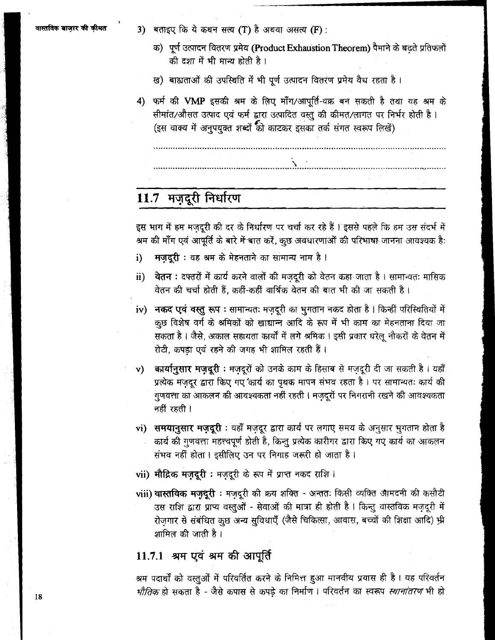3) बताइए कि ये कथन सत्य (T) है अथवा असत्य (F) :

- क) पूर्ण उत्पादन वितरण प्रमेय (Product Exhaustion Theorem) पैमाने के बढ़ते प्रतिफलों की दशा में भी मान्य होती है।
- ख) बाह्यताओं की उपस्थिति में भी पूर्ण उत्पादन वितरण प्रमेय वैध रहता है।
- फर्म की VMP इसकी श्रम के लिए माँग/आपूर्ति-वक्र बन सकती है तथा यह श्रम के 4) सीमांत/औसत उत्पाद एवं फर्म द्वारा उत्पादित वस्तु की कीमत/लागत पर निर्भर होती है। (इस वाक्य में अनुपयुक्त शब्दों की काटकर इसका तर्क संगत स्वरूप लिखें)

# 11.7 मज़दूरी निर्धारण

इस भाग में हम मंजदूरी की दर के निर्धारण पर चर्चा कर रहे हैं । इससे पहले कि हम उस संदर्भ में श्रम की माँग एवं आपूर्ति के बारे में बात करें, कुछ अवधारणाओं की परिभाषा जानना आवश्यक है:

- मज़दूरी : यह श्रम के मेहनताने का सामान्य नाम है। i)
- <mark>वेतन :</mark> दफ्तरों में कार्य करने वालों की मजदूरी को वेतन कहा जाता है । सामान्यतः मासिक  $\mathbf{ii}$ वेतन की चर्चा होती हैं. कहीं-कहीं वार्षिक वेतन की बात भी की जा सकती है।
- iv) नकद एवं वस्तु रूप : सामान्यतः मज़दूरी का भुगतान नकद होता है। किन्हीं परिस्थितियों में कुछ विशेष वर्ग के श्रमिकों को खाद्यान्न आदि के रूप में भी काम का मेहनताना दिया जा सकता है । जैसे, अकाल सहायता कार्यों में लगे श्रमिक । इसी प्रकार घरेलू नौकरों के वेतन में रोटी, कपड़ा एवं रहने की जगह भी शामिल रहती हैं।
- **कार्यानुसार मज़दूरी** : मज़दूरों को उनके काम के हिसाब से मजदूरी दी जा सकती है । यहाँ  $\mathbf{v}$ प्रत्येक मज़दूर द्वारा किए गए कार्य का पृथक मापन संभव रहता है। पर सामान्यतः कार्य की गुणवत्ता का आकलन की आवश्यकता नहीं रहती । मज़दूरों पर निगरानी रखने की आवश्यकता नहीं रहती ।
- vi) समयानुसार मज़दूरी : यहाँ मज़दूर द्वारा कार्य पर लगाए समय के अनुसार भुगतान होता है कार्य की गुणवत्ता महत्त्वपूर्ण होती है, किन्तु प्रत्येक कारीगर द्वारा किए गए कार्य का आकलन संभव नहीं होता। इसीलिए उन पर निगाह जरूरी हो जाता है।
- vii) मौद्रिक मज़दूरी : मज़दूरी के रूप में प्राप्त नकद राशि ।
- viii) वास्तविक मज़ुदूरी : मज़दूरी की क्रय शक्ति अन्ततः किसी व्यक्ति आमदनी की कसौटी उस राशि द्वारा प्राप्य वस्तुओं - सेवाओं की मात्रा ही होती है । किन्तु वास्तविक मज़दूरी में रोजगार से संबंधित कुछ अन्य सुविधाएँ (जैसे चिकित्सा, आवास, बच्चों की शिक्षा आदि) भ्री शामिल की जाती है।

### 11.7.1 श्रम एवं श्रम की आपूर्ति

श्रम पदार्थों को वस्तुओं में परिवर्तित करने के निमित्त हुआ मानवीय प्रयास ही है। यह परिवर्तन *भौतिक* हो सकता है - जैसे कपास से कपड़े का निर्माण । परिवर्तन का स्वरूप *स्थानांतरण* भी हो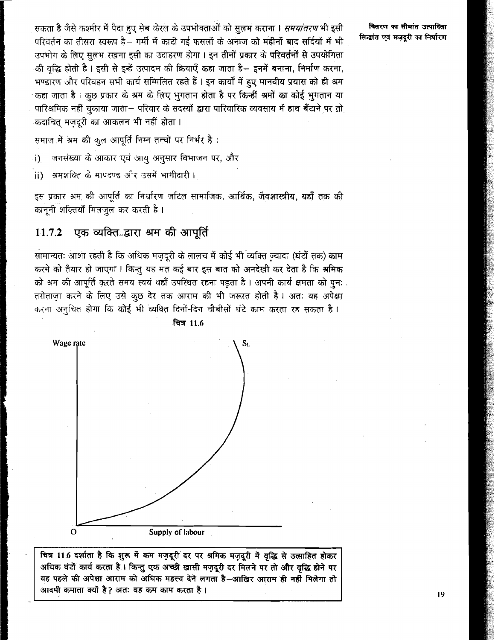सकता है जैसे कश्मीर में पैदा हुए सेब केरल के उपभोक्ताओं को सुलभ कराना । *समयांतरण* भी इसी परिवर्तन का तीसरा स्वरूप है– गर्मी में काटी गई फसलों के अनाज को म**हीनों बाद सर्दियों** में भी उपभोग के लिए सुलभ रखना इसी का उदाहरण होगा। इन तीनों प्रकार के परिवर्तनों से उपयोगिता की वद्धि होती है। इसी से इन्हें उत्पादन की क्रियाएँ कहा जाता है– इनमें बनाना, निर्माण करना, भण्डारण और परिवहन सभी कार्य सम्मिलित रहते हैं । इन कार्यों में हुए मानवीय प्रयास को ही श्रम कहा जाता है। कुछ प्रकार के श्रम के लिए भुगतान होता है पर किन्हीं श्रमों का कोई भुगतान या पारिश्रमिक नहीं चुकाया जाता– परिवार के सदस्यों द्वारा पारिवारिक व्यवसाय में हाथ बँटाने पर तो कदाचित् मजदूरी का आकलन भी नहीं होता ।

वितरण का सीमांत उत्पादिता सिद्धांत एवं मजदुरी का निर्धारण

.<br>समाज में श्रम की कुल आपूर्ति निम्न तत्त्वों पर निर्भर है :

जनसंख्या के आकार एवं आयु अनुसार विभाजन पर, और  $\cdot$ i)

्त्रमशक्ति के मापदण्ड और उसमें भागीदारी ।  $\mathbf{ii}$ 

इस प्रकार श्रम की आपूर्ति का निर्धारण जटिल सामाजिक, आर्थिक, जैवशास्त्रीय, यहाँ तक की कानूनी शक्तियाँ मिलजुल कर करती है।

#### एक व्यक्तिव्हारा श्रम की आपूर्ति 11.7.2

सामान्यतः आशा रहती है कि अधिक मज़दूरी के लालच में कोई भी व्यक्ति ज्यादा (घंटों तक) काम करने को तैयार हो जाएगा। किन्तु यह मत कई बार इस बात को अनदेखी कर देता है कि श्रमिक को श्रम की आपूर्ति करते समय स्वयं वहाँ उपस्थित रहना पडता है। अपनी कार्य क्षमता को पुनः तरोताजा करने के लिए उसे कुछ देर तक आराम की भी जरूरत होती है। अतः यह अपेक्षा करना अनुचित होगा कि कोई भी व्यक्ति दिनों-दिन चौबीसों घंटे काम करता रह सकता है।



वित्र 11.6

चित्र 11.6 दर्शाता है कि शुरू में कम मज़दूरी दर पर श्रमिक मज़दूरी में वृद्धि से उत्साहित होकर अधिक घंटों कार्य करता है। किन्तु एक अच्छी खासी मज़दूरी दर मिलने पर तो और वृद्धि होने पर वह पहले की अपेक्षा आराम को अधिक महत्त्व देने लगता है-आखिर आराम ही नहीं मिलेगा तो आदमी कमाता क्यों है? अतः वह कम काम करता है।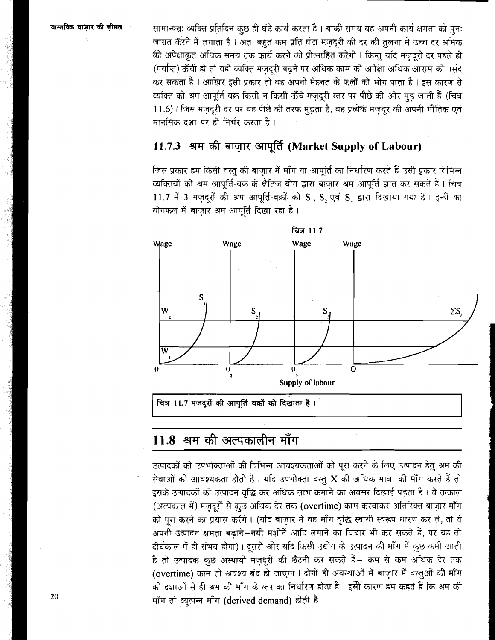<sup>वास्तविक बाज़ार की कीमत **... ... ... सामान्यत: व्यक्ति प्रतिदिन** कछ ही घंटे कार्य करता है । बाकी समय वह अपनी कार्य क्षमता को पन:</sup> जाग्रत कॅरने में लगाता है। अतः बहुत कम प्रति घंटा मजदूरी की दर की तुलना में उच्च दर श्रमिक की अपेक्षाकृत अधिक समय तक कार्य करने को प्रोत्साहित करेगी। किन्त यदि मजदरी दर पहले ही (पर्याप्त) ऊँची हो तो वही व्यक्ति मजदुरी बढने पर अधिक काम की अपेक्षा अधिक आराम को पसंद कर सकता है । आखिर इसी प्रकार तो वह अपनी मेहनत के फलों को भोग पाता है । इस कारण से व्यक्ति की श्रम आपूर्ति-वक्र किसी न किसी ऊँचे मजदुरी स्तर पर पीछे की ओर मड़ जाती हैं (चित्र 11.6)। जिस मज़दूरी दर पर यह पीछे की तरफ मुड़ता है, वह प्रत्येक मज़दूर की अपनी भौतिक एवं **मानसिक दशा पर ही निर्भर करता है।** 

## 11.7.3 श्रम की बाज़ार आपूर्ति (Market Supply of Labour)

जिस प्रकार हम किसी वस्तु की बाजार में माँग या आपूर्ति का निर्धारण करते हैं उसी प्रकार विभिन्न व्यक्तियों की श्रम आपूर्ति-वक्र के क्षैतिज योग द्वारा बाज़ार श्रम आपूर्ति ज्ञात कर सकते हैं। चित्र 11.7 में 3 मज़दूरों की श्रम आपूर्ति-वक्रों को S,, S, एवं S, द्वारा दिखाया गया है। इन्हीं का योगफल में बाजार श्रम आपर्ति दिखा रहा है।



## $11.8$  श्रम की अल्पकालीन माँग

उत्पादकों को उपभोक्ताओं की विभिन्न आवश्यकताओं को पूरा करने के लिए उत्पादन हेतु <del>अ</del>म की सेवाओं की आवश्यकता होती है। यदि उपभोक्ता वस्तु X की अधिक मात्रा की माँग करते हैं तो इसके उत्पादकों को उत्पादन वृद्धि कर अधिक लाभ कमाने का अवसर दिखाई पड़ता है । वे तत्काल (अल्पकाल में) मज़दूरों से कुछ अधिक देर तक (overtime) काम करवाकर अतिरिक्त बाज़ार माँग को परा करने का प्रयास करेंगे। (यदि बाजार में वह माँग वृद्धि स्थायी स्वरूप धारण कर ले, तो वे अपनी उत्पादन क्षमता बढाने—नयी मशीनें आदि लगाने का विचार भी कर सकते हैं, पर यह तो दीर्घकाल में ही संभव होगा)। दूसरी ओर यदि किसी उद्योग के उत्पादन की माँग में कुछ कमी आती है तो उत्पादक कुछ अस्थायी मज़दूरों की छँटनी कर सकते हैं— कम से कम अधिक देर तक (overtime) काम तो अवश्य बंद हो जाएगा। दोनों ही अवस्थाओं में बाज़ार में वस्तुओं की माँग की दशाओं से ही <del>श्र</del>म की माँग के स्तर का निर्धारण होता है । इसी कारण हम कहते हैं कि <del>श्र</del>म की (overtime) काम ता अवश्य बद हा जाएगा । दाना <del>।</del><br>की दशाओं से ही श्रम की माँग के स्तर का निर्धारण हो<br>माँग तो व्युत्पन्न माँग (derived demand) होती है ।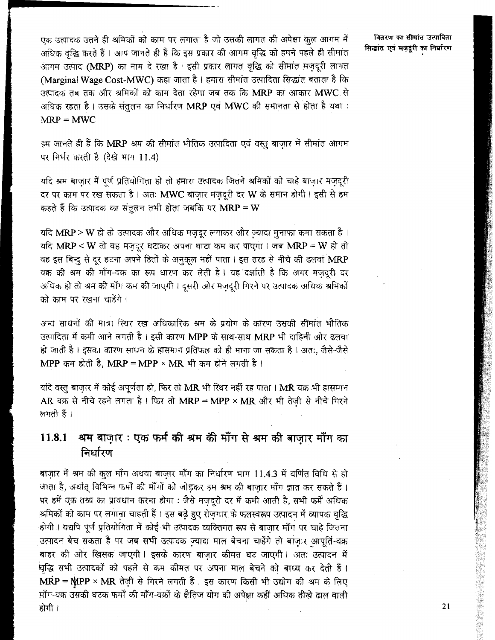एक उत्पादक उतने ही श्रमिकों को काम पर लगाता है जो उसकी लागत की अपेक्षा कुल आगम में अधिक वृद्धि करते हैं । आप जानते ही हैं कि इस प्रकार की आगम वृद्धि को हमने पहले ही सीमांत आगम उत्पाद (MRP) का नाम दे रखा है। इसी प्रकार लागत वृद्धि को सीमांत मज़दूरी लागत (Marginal Wage Cost-MWC) कहा जाता है। हमारा सीमांत उत्पादिता सिद्धांत बताता है कि उत्पादक तब तक और श्रमिकों को काम देता रहेगा जब तक कि MRP का आकार MWC से अधिक रहता है। उसके संतलन का निर्धारण MRP एवं MWC की समानता से होता है यथा:  $MRP = MWC$ 

हम जानते ही हैं कि MRP श्रम की सीमांत भौतिक उत्पादिता एवं वस्तु बाजार में सीमांत आगम पर निर्भर करती है (देखे भाग 11.4)

यदि श्रम बाजार में पूर्ण प्रतियोगिता हो तो हमारा उत्पादक जितने श्रमिकों को चाहे बाजार मजदूरी दर पर काम पर रख सकता है। अतः MWC बाजार मजदरी दर W के समान होगी। इसी से हम कहते हैं कि उत्पादक का संतुलन तभी होता जबकि पर  $\mathbf{MRP} = \mathbf{W}$ 

यदि MRP > W हो तो उत्पादक और अधिक मज़दूर लगाकर और ज्यादा मुनाफा कमा सकता है। यदि MRP < W तो वह मजदुर घटाकर अपना घाटा कम कर पाएगा। जब MRP = W हो तो वह इस बिन्दु से दूर हटना अपने हितों के अनुकल नहीं पाता। इस तरह से नीचे की ढलवां MRP वक्र की श्रम की माँग-वक्र का रूप धारण कर लेती है। यह दर्शाती है कि अगर मजदुरी दर अधिक हो तो श्रम की माँग कम की जाएगी। दूसरी ओर मज़दूरी गिरने पर उत्पादक अधिक श्रमिकों को काम पर रखना चाहेंगे ।

अन्य साधनों की मात्रा स्थिर रख अधिकारिक श्रम के प्रयोग के कारण उसकी सीमांत भौतिक उत्पादिता में कमी आने लगती है । इसी कारण MPP के साथ-साथ MRP भी दाहिनी ओर ढलवा हो जाती है। इसका कारण साधन के हासमान प्रतिफल को ही माना जा सकता है। अत:. जैसे-जैसे MPP कम होती है, MRP = MPP × MR भी कम होने लगती है।

यदि वस्तु बाजार में कोई अपूर्णता हो, फिर तो MR भी स्थिर नहीं रह पाता । MR वक्र भी हासमान AR वक्र से नीचे रहने लगता है। फिर तो MRP = MPP × MR और भी तेज़ी से नीचे गिरने लगती हैं ।

#### श्रम बाज़ार : एक फर्म की श्रम की माँग से श्रम की बाज़ार माँग का 11.8.1 निर्धारण

बाज़ार में श्रम की कुल माँग अथवा बाज़ार माँग का निर्धारण भाग 11.4.3 में वर्णित विधि से हो जाता है, अर्थात् विभिन्न फर्मों की माँगों को जोड़कर हम श्रम की बाजार माँग ज्ञात कर सकते हैं। षर हमें एक तथ्य का प्रावधान करना होगा : जैसे मजदुरी दर में कमी आती है, सभी फर्में अधिक श्रमिकों को काम पर लगाना चाहती हैं। इस बढे हुए रोजगार के फलस्वरूप उत्पादन में व्यापक वृद्धि होगी। यद्यपि पूर्ण प्रतियोगिता में कोई भी उत्पादक व्यक्तिगत रूप से बाजार माँग पर चाहे जितना उत्पादन बेच सकता है पर जब सभी उत्पादक ज्यादा माल बेचना चाहेंगे तो बाजार आपूर्ति-वक्र बाहर की ओर खिसक जाएगी। इसके कारण बाजार कीमत घट जाएगी। अतः उत्पादन में वृद्धि सभी उत्पादकों को पहले से कम कीमत पर अपना माल बेचने को बाध्य कर देती है।  $\overrightarrow{MRP} = \overrightarrow{MPP} \times \overrightarrow{MR}$  तेज़ी से गिरने लगती हैं। इस कारण किसी भी उद्योग की श्रम के लिए माँग-वक्र उसकी घटक फर्मों की माँग-वक्रों के क्षैतिज योग की अपेक्षा कहीं अधिक तीखे ढाल वाली होगी ।

वितरण का सीमांत उत्पादिता सिद्धांत एवं मजदूरी का निर्धारण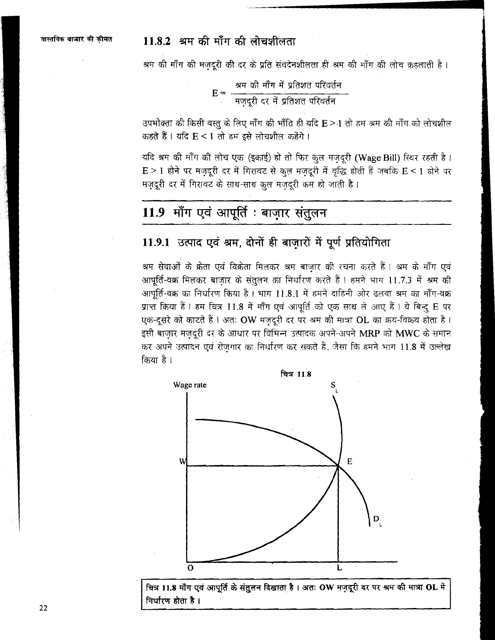## $11.8.2$  श्रम की माँग की लोचशीलता

श्रम की माँग की मज़दूरी की दर के प्रति संवदेनशीलता ही श्रम की माँग की लोच कहलाती है।

उपभोक्ता की किसी वस्तु के लिए माँग की भाँति ही यदि E>1 तो हम श्रम की माँग को लोचशील कहते हैं। यदि E < 1 तो हम इसे लोचशील कहेंगे।

यदि श्रम की माँग की लोच एक (इकाई) हो तो फिर कुल मज़दूरी (Wage Bill) स्थिर रहती है।  $E > 1$  होने पर मज़दूरी दर में गिरावट से कुल मज़दूरी में वृद्धि होती हैं जबकि  $E < 1$  होने पर मज़दूरी दर में गिरावट के साथ-साथ कुल मज़दूरी कम हो जाती है।

# 11.9 माँग एवं आपूर्ति : बाज़ार संतुलन

### 11.9.1 उत्पाद एवं श्रम, दोनों ही बाज़ारों में पूर्ण प्रतियोगिता

श्रम सेवाओं के क्रेता एवं विक्रेता मिलकर श्रम बाज़ार की रचना करते हैं। श्रम के माँग एवं आपूर्ति-वक्र मिलकर बाजार के संतुलन का निर्धारण करते हैं। हमने भाग 11.7.3 में श्रम की आपूर्ति-वक्र का निर्धारण किया है। भाग 11.8.1 में हमने दाहिनी ओर ढलवा श्रम का माँग-वक्र प्राप्त किया हैं। हम चित्र 11.8 में माँग एवं आपूर्ति को एक साथ ले आए हैं। ये बिन्दू E पर एक-दूसरे को काटते हैं । अतः OW मज़दूरी दर पर श्रम की मात्रा OL का क्रय-विक्रय होता है। इसी बाज़ार मज़दूरी दर के आधार पर विभिन्न उत्पादक अपने-अपने MRP को MWC के समान कर अपने उत्पादन एवं रोजगार का निर्धारण कर सकते हैं, जैसा कि हमने भाग 11.8 में उल्लेख किया है।



चित्र 11.8 माँग एवं आपूर्ति के संतुलन दिखाता है। अतः OW मज़दूरी दर पर श्रम की मात्रा OL में निर्धारण होता है।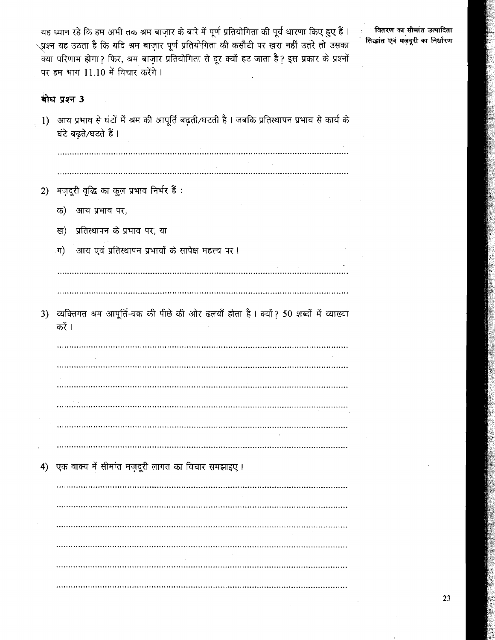यह ध्यान रहे कि हम अभी तक श्रम बाज़ार के बारे में पूर्ण प्रतियोगिता की पूर्व धारणा किए हुए हैं ।<br>्प्रश्न यह उठता है कि यदि श्रम बाज़ार पूर्ण प्रतियोगिता की कसौटी पर खरा नहीं उतरे तो उसका<br>क्या परिणाम होगा ? फिर, श्रम बाज़ा पर हम भाग 11.10 में विचार करेंगे।

वितरण का सीमांत उत्पादिता सिद्धांत एवं मज़दूरी का निर्धारण

## बोध प्रश्न 3

| 1) | आय प्रभाव से घंटों में श्रम की आपूर्ति बढ़ती/घटती है । जबकि प्रतिस्थापन प्रभाव से कार्य के<br>घंटे बढ़ते/घटते हैं। |
|----|--------------------------------------------------------------------------------------------------------------------|
|    |                                                                                                                    |
|    |                                                                                                                    |
| 2) | मज़दूरी वृद्धि का कुल प्रभाव निर्भर हैं :                                                                          |
|    | क)<br>आय प्रभाव पर,                                                                                                |
|    | प्रतिस्थापन के प्रभाव पर, या<br>ख)                                                                                 |
|    | आय एवं प्रतिस्थापन प्रभावों के सापेक्ष महत्त्व पर।<br>ग)                                                           |
|    |                                                                                                                    |
|    |                                                                                                                    |
| 3) | व्यक्तिगत श्रम आपूर्ति-वक्र की पीछे की ओर ढलवाँ होता है। क्यों ? 50 शब्दों में व्याख्या<br>करें ।                  |
|    |                                                                                                                    |
|    |                                                                                                                    |
|    |                                                                                                                    |
|    |                                                                                                                    |
|    |                                                                                                                    |
|    |                                                                                                                    |
| 4) | एक वाक्य में सीमांत मज़दूरी लागत का विचार समझाइए।                                                                  |
|    |                                                                                                                    |
|    |                                                                                                                    |
|    |                                                                                                                    |
|    |                                                                                                                    |
|    | $\sim$                                                                                                             |
|    |                                                                                                                    |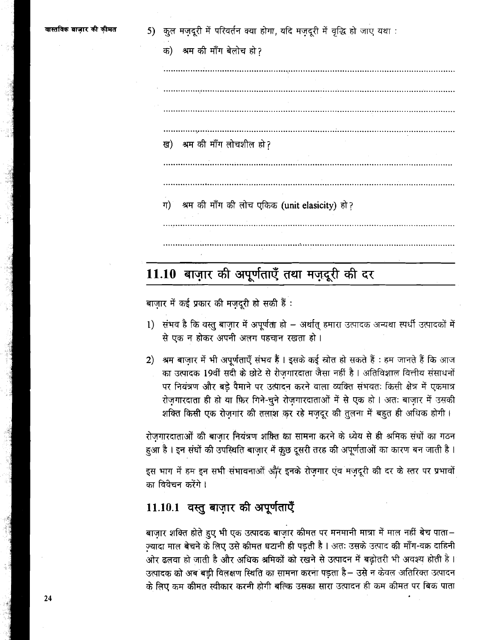5) कृल मजदूरी में परिवर्तन क्या होगा, यदि मजदुरी में वृद्धि हो जाए यथा :

| क) श्रम की माँग बेलोच हो ? |  |
|----------------------------|--|
|----------------------------|--|

ख) श्रम की माँग लोचशील हो? श्रम की माँग की लोच एकिक (unit elasicity) हो? ग)

# 11.10 बाज़ार की अपूर्णताएँ तथा मज़दूरी की दर

बाज़ार में कई प्रकार की मज़दूरी हो सकी हैं:

- 1) संभव है कि वस्तु बाजार में अपूर्णता हो अर्थात् हमारा उत्पादक अन्यथा स्पर्धी उत्पादकों में <u>से एक न होकर अपनी अलग पहचान रखता हो ।</u>
- 2) श्रम बाज़ार में भी अपूर्णताएँ संभव हैं । इसके कई स्रोत हो सकते हैं : हम जानते हैं कि आज का उत्पादक 19वीं सदी के छोटे से रीजगारदाता जैसा नहीं है। अतिविशाल वित्तीय संसाधनों पर नियंत्रण और बड़े पैमाने पर उत्पादन करने वाला व्यक्ति संभवतः किसी क्षेत्र में एकमात्र रोज़गारदाता ही हो या फ़िर गिने-चुने रोज़गारदाताओं में से एक हो । अतः बाज़ार में उसकी शक्ति किसी एक रोजगार की तलाश कर रहे मजदूर की तुलना में बहुत ही अधिक होगी।

रोजगारदाताओं की बाजार नियंत्रण शकित का सामना करने के ध्येय से ही श्रमिक संघों का गठन हुआ है। इन संघों की उपस्थिति बाज़ार में कूछ दूसरी तरह की अपूर्णताओं का कारण बन जाती है।

इस भाग में हम इन सभी संभावनाओं और इनके रोज़गार एवं मज़दूरी की दर के स्तर पर प्रभावों का विवेचन करेंगे ।

# 11.10.1 वस्तु बाज़ार की अपूर्णताएँ

बाजार शक्ति होते हुए भी एक उत्पादक बाजार कीमत पर मनमानी मात्रा में माल नहीं बेच पाता– ज़्यादा माल बेचने के लिए उसे कीमत घटानी ही पड़ती है। अतः उसके उत्पाद की माँग-वक्र दाहिनी ओर ढलवा हो जाती है और अधिक श्रमिकों को रखने से उत्पादन में बढोतरी भी अवश्य होती है। उत्पादक को अब बड़ी विलक्षण स्थिति का सामना करना पड़ता है– उसे न केवल अतिरिक्त उत्पादन के लिए कम कीमत स्वीकार करनी होगी बल्कि उसका सारा उत्पादन ही कम कीमत पर बिक पाता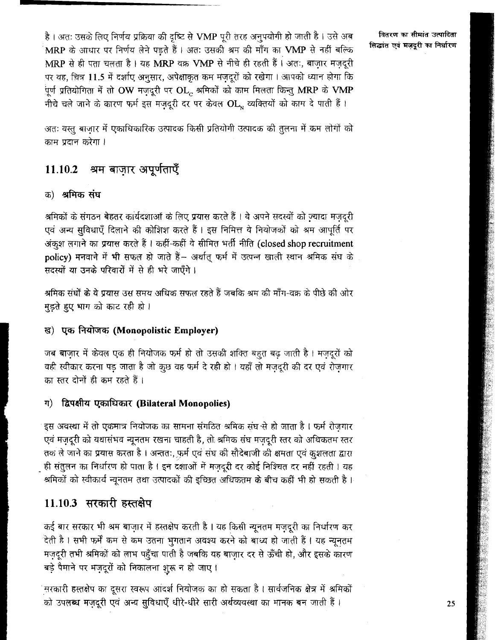है। अतः उसके लिए निर्णय प्रक्रिया की दृष्टि से VMP पूरी तरह अनुपयोगी हो जाती है। उसे अब MRP के आधार पर निर्णय लेने पडते हैं। अतः उसकी श्रम की माँग का VMP से नहीं बल्कि MRP से ही पता चलता है। यह MRP वक्र VMP से नीचे ही रहती हैं। अतः, बाजार मजदूरी पर वह, चित्र 11.5 में दर्शाए अनुसार, अपेक्षाकृत कम मजदुरों को रखेगा। आपको ध्यान होगा कि पूर्ण प्रतियोगिता में तो OW मज़दूरी पर OL, श्रमिकों को काम मिलता किन्तु MRP के VMP नीचे चले जाने के कारण फर्म इस मज़दूरी दर पर केवल OL, व्यक्तियों को काम दे पाती हैं।

अतः वस्तु बाजार में एकाधिकारिक उत्पादक किसी प्रतियोगी उत्पादक की तुलना में कम लोगों को काम प्रदान करेगा ।

#### श्रम बाजार अपूर्णताएँ 11.10.2

### क) श्रमिक संघ

श्रमिकों के संगठन बेहतर कार्यदशाओं के लिए प्रयास करते हैं। वे अपने सदस्यों को ज्यादा मजदरी एवं अन्य सुविधाएँ दिलाने की कोशिश करते हैं। इस निमित्त वे नियोजकों को श्रम आपूर्ति पर अंकृश लगाने का प्रयास करते हैं। कहीं-कहीं वे सीमित भर्ती नीति (closed shop recruitment policv) मनवाने में भी सफल हो जाते हैं- अर्थात् फर्म में उत्पन्न खाली स्थान श्रमिक संघ के सदस्यों या उनके परिवारों में से ही भरे जाएँगे।

श्रमिक संघों के ये प्रयास उस समय अधिक सफल रहते हैं जबकि श्रम की माँग-वक्र के पीछे की ओर मुड़ते हुए भाग को काट रही हो।

### ख) एक नियोजक (Monopolistic Employer)

जब बाज़ार में केवल एक ही नियोजक फर्म हो तो उसकी शक्ति बहुत बढ़ जाती है। मज़दूरों को वही स्वीकार करना पड जाता है जो कुछ वह फर्म दे रही हो । यहाँ तो मजदरी की दर एवं रोजगार का स्तर दोनों ही कम रहते हैं।

#### द्विपक्षीय एकाधिकार (Bilateral Monopolies) ग)

इस अवस्था में तो एकमात्र नियोजक का सामना संगठित श्रमिक संघ से हो जाता है। फर्म रोजगार एवं मजदूरी को यथासंभव न्यूनतम रखना चाहती है, तो श्रमिक संघ मजदूरी स्तर को अधिकतम स्तर तक ले जाने का प्रयास करता है। अन्ततः, फर्म एवं संघ की सौदेबाजी की क्षमता एवं कृशलता द्वारा ही संतुलन का निर्धारण हो पाता है। इन दशाओं में मज़दूरी दर कोई निश्चित दर नहीं रहती। यह श्रमिकों को स्वीकार्य न्यूनतम तथा उत्पादकों की इच्छित अधिकतम के बीच कहीं भी हो सकती है।

## 11.10.3 सरकारी हस्तक्षेप

कई बार सरकार भी श्रम बाज़ार में हस्तक्षेप करती है। यह किसी न्यूनतम मज़दूरी का निर्धारण कर .<br>देती है। सभी फर्में कम से कम उतना भुगतान अवश्य करने को बाध्य हो जाती हैं। यह न्यूनतम मज़दूरी तभी श्रमिकों को लाभ पहुँचा पाती है जबकि यह बाज़ार दर से ऊँची हो, और इसके कारण बड़े पैमाने पर मज़दूरों को निकालना शुरू न हो जाए।

सरकारी हस्तक्षेप का दुसरा स्वरूप आंदर्श नियोजक का हो सकता है। सार्वजनिक क्षेत्र में श्रमिकों को उपलब्ध मज़दूरी एवं अन्य सुविधाएँ धीरे-धीरे सारी अर्थव्यवस्था का मानक बन जाती हैं।

वितरण का सीमांत उत्पादिता सिद्धांत एवं मजदुरी का निर्धारण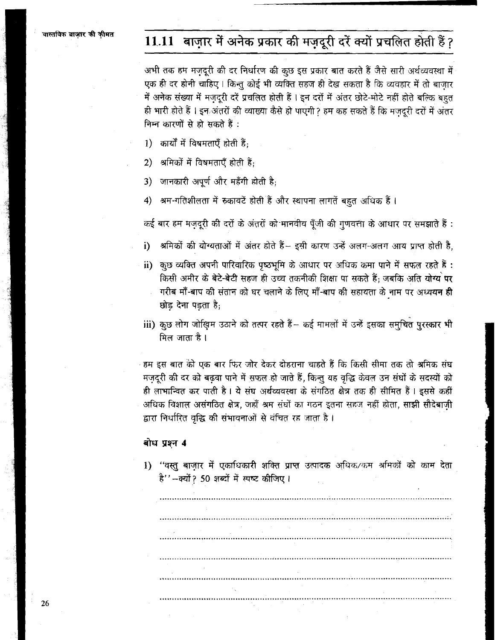# 11.11 बाज़ार में अनेक प्रकार की मज़दूरी दरें क्यों प्रचलित होती हैं?

अभी तक हम मजदूरी की दर निर्धारण की कुछ इस प्रकार बात करते हैं जैसे सारी अर्थव्यवस्था में एक ही दर होनी चाहिए। किन्तु कोई भी व्यक्ति सहज ही देख सकता है कि व्यवहार में तो बाजार में अनेक संख्या में मज़दूरी दरें प्रचलित होती हैं। इन दरों में अंतर छोटे-मोटे नहीं होते बल्कि बहुत ही भारी होते हैं। इन अंतरों की व्याख्या कैसे हो पाएगी? हम कह सकते हैं कि मजदूरी दरों में अंतर निम्न कारणों से हो सकते हैं:

1) कार्यों में विषमताएँ होती हैं;

2) अमिकों में विषमताएँ होती हैं:

जानकारी अपूर्ण और महँगी होती है;  $3)$ 

श्रम-गतिशीलता में रुकावटें होती हैं और स्थापना लागतें बहुत अधिक हैं ।  $\vert 4 \rangle$ 

कई बार हम मज़दूरी की दरों के अंतरों को मानवीय पूँजी की गुणवत्ता के आधार पर समझाते हैं :

श्रमिकों की योग्यताओं में अंतर होते हैं– इसी कारण उन्हें अलग-अलग आय प्राप्त होती है,  $i)$ 

- ii) कुछ व्यक्ति अपनी पारिवारिक पृष्ठभूमि के आधार पर अधिक कमा पाने में सफल रहते हैं : किसी अमीर के बेटे-बेटी सहज ही उच्च तकनीकी शिक्षा पा सकते हैं: जबकि अति योग्य पर गरीब माँ-बाप की संतान को घर चलाने के लिए माँ-बाप की सहायता के नाम पर अध्ययन ही छोड़ देना पडता है;
- iii) कुछ लोग जोखिम उठाने को तत्पर रहते हैं– कई मामलों में उन्हें इसका समुचित पुरस्कार भी मिल जाता है ।

्हम इस बात को एक बार फिर जोर देकर दोहराना चाहते हैं कि किसी सीमा तक तो श्रमिक संघ मज़दूरी की दर को बढ़वा पाने में सफल हो जाते हैं, किन्तु यह वृद्धि केवल उन संघों के सदस्यों को ही लाभान्वित कर पाती है। ये संघ अर्थव्यवस्था के संगठित क्षेत्र तक ही सीमित हैं। इससे कहीं अधिक विशाल असंगठित क्षेत्र, जहाँ श्रम संघों का गठन इतना सहज नहीं होता, साझी सौदेबाजी द्वारा निर्धारित वृद्धि की संभावनाओं से वंचित रह जाता है।

#### बोध प्रश्न 4

1) "वस्तु बाज़ार में एकाधिकारी शक्ति प्राप्त उत्पादक अधिक/कम श्रमिकों को काम देता है''-क्यों ? 50 शब्दों में स्पष्ट कीजिए।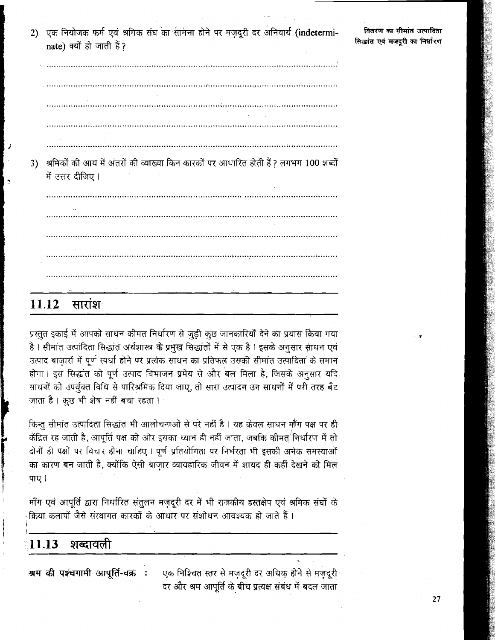2) एक नियोजक फर्म एवं श्रमिक संघ<sup>ॅ</sup>का सामना होने पर मज़दूरी दर अनिवार्य (indeterminate) क्यों हो जाती हैं?

वितरण का सीमांत उत्पादिता सिद्धांत एवं मज़दूरी का निर्धारण

|    | श्रमिकों की आय में अंतरों की व्याख्या किन कारकों पर आधारित होती हैं ? लगभग 100 शब्दों |
|----|---------------------------------------------------------------------------------------|
| 3) |                                                                                       |
|    | में उत्तर दीजिए।                                                                      |
|    |                                                                                       |
|    |                                                                                       |
|    |                                                                                       |
|    |                                                                                       |
|    |                                                                                       |
|    |                                                                                       |
|    |                                                                                       |
|    |                                                                                       |
|    |                                                                                       |
|    |                                                                                       |
|    |                                                                                       |
|    |                                                                                       |
|    | $\mathbf{Z}$                                                                          |
|    |                                                                                       |

प्रस्तुत इकाई में आपको साधन कीमत निर्धारण से जुड़ी कुछ जानकारियाँ देने का प्रयास किया गया है। सीमांत उत्पांदिता सिद्धांत अर्थशास्त्र के प्रमुख सिद्धांतों में से एक है। इसके अनुसार साधन एवं उत्पाद बाज़ारों में पूर्ण स्पर्धा होने पर प्रत्येक साधन का प्रतिफल उसकी सीमांत उत्पादिता के समान होगा। इस सिद्धांत को पूर्ण उत्पाद विभाजन प्रमेय से और बल मिला है, जिसके अनुसार यदि साधनों को उपर्युक्त विधि से पारिश्रमिक दिया जाए, तो सारा उत्पादन उन साधनों में परी तरह बँट जाता है। कुछ भी शेष नहीं बचा रहता।

किन्तु सीमांत उत्पादिता सिद्धांत भी आलोचनाओं से परे नहीं है । यह केवल साधन माँग पक्ष पर ही केंद्रित रह जाती है, आपूर्ति पक्ष की ओर इसका ध्यान ही नहीं जाता, जबकि कीमत् निर्धारण में तो दोनों ही पक्षों पर विचार होना चाहिए। पूर्ण प्रतियोगिता पर निर्भरता भी इसकी अनेक समस्याओं का कारण बन जाती हैं, क्योंकि ऐसी बाज़ार व्यावहारिक जीवन में शायद ही कहीं देखने को मिल पाए।

माँग एवं आपूर्ति द्वारा निर्धारित संतुलन मज़दूरी दर में भी राजकीय हस्तक्षेप एवं श्रमिक संघों के क्रिया कलापों जैसे संस्थागत कारकों के आधार पर संशोधन आवश्यक हो जाते हैं।

#### शब्दावली 11.13

श्रम की पश्चगामी आपूर्ति-वक्रं : एक निश्चित स्तर से मज़दूरी दर अधिक होने से मज़दूरी दर और श्रम आपूर्ति के बीच प्रत्यक्ष संबंध में बदल जाता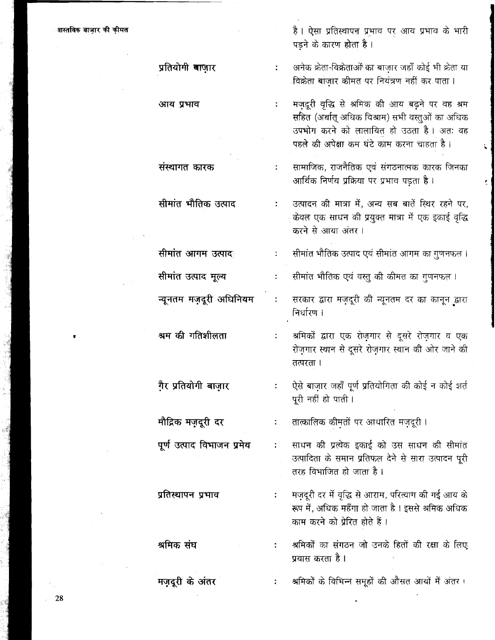है। ऐसा प्रतिस्थापन प्रभाव पर आय प्रभाव के भारी पडने के कारण होता है ।

अनेक क्रेता-विक्रेताओं का बाजार जहाँ कोई भी क्रेता या विक्रेता बाजार कीमत पर नियंत्रण नहीं कर पाता।

मजदुरी वृद्धि से श्रमिक की आय बढने पर वह श्रम  $\ddot{\cdot}$ सहित (अर्थात् अधिक विश्राम) सभी वस्तुओं का अधिक उपभोग करने को लालायित हो उठता है। अतः वह पहले की अपेक्षा कम घंटे काम करना चाहता है ।

सामाजिक, राजनैतिक एवं संगठनात्मक कारक जिनका आर्थिक निर्णय प्रक्रिया पर प्रभाव पड़ता है।

उत्पादन की मात्रा में, अन्य सब बातें स्थिर रहने पर, केवल एक साधन की प्रयुक्त मात्रा में एक इकाई वृद्धि करने से आया अंतर ।

सीमांत भौतिक उत्पाद एवं सीमांत आगम का गुणनफल।  $\ddot{\cdot}$ 

सीमांत भौतिक एवं वस्तु की कीमत का गुणनफल ।  $\ddot{\cdot}$ 

सरकार द्वारा मज़दूरी की न्यूनतम दर का कानून द्वारा निर्धारण ।

श्रमिकों द्वारा एक रोज़गार से दूसरे रोज़गार व एक रोज़गार स्थान से दूसरे रोज़गार स्थान की ओर जाने की तत्परता ।

ऐसे बाज़ार जहाँ पूर्ण प्रतियोगिता की कोई न कोई शर्त  $\ddot{\cdot}$ पुरी नहीं हो पाती।

तात्कालिक कीमतों पर आधारित मज़दूरी।  $\ddot{\cdot}$ 

साधन की प्रत्येक इकाई को उस साधन की सीमांत  $\ddot{\cdot}$ उत्पादिता के समान प्रतिफल देने से सारा उत्पादन पूरी तरह विभाजित हो जाता है ।

मज़दूरी दर में वृद्धि से आराम, परित्याग की गई आय के  $\ddot{\bullet}$ रूप में, अधिक महँगा हो जाता है । इससे श्रमिक अधिक काम करने को प्रेरित होते हैं ।

श्रमिकों का संगठन जो उनके हितों की रक्षा के लिए प्रयास करता है।

श्रमिकों के विभिन्न समूहों की औसत आयों में अंतर।

प्रतियोगी बाजार

आय प्रभाव

 $\ddot{\cdot}$ 

 $\ddot{\cdot}$ 

संस्थागत कारक

सीमांत भौतिक उत्पाद

सीमांत आगम उत्पाद सीमांत उत्पाद मूल्य

न्यूनतम मज़दूरी अधिनियम

श्रम की गतिशीलता

गै़र प्रतियोगी बाज़ार

मौद्रिक मज़दूरी दर

पूर्ण उत्पाद विभाजन प्रमेय

प्रतिस्थापन प्रभाव

श्रमिक संघ

मज़दूरी के अंतर